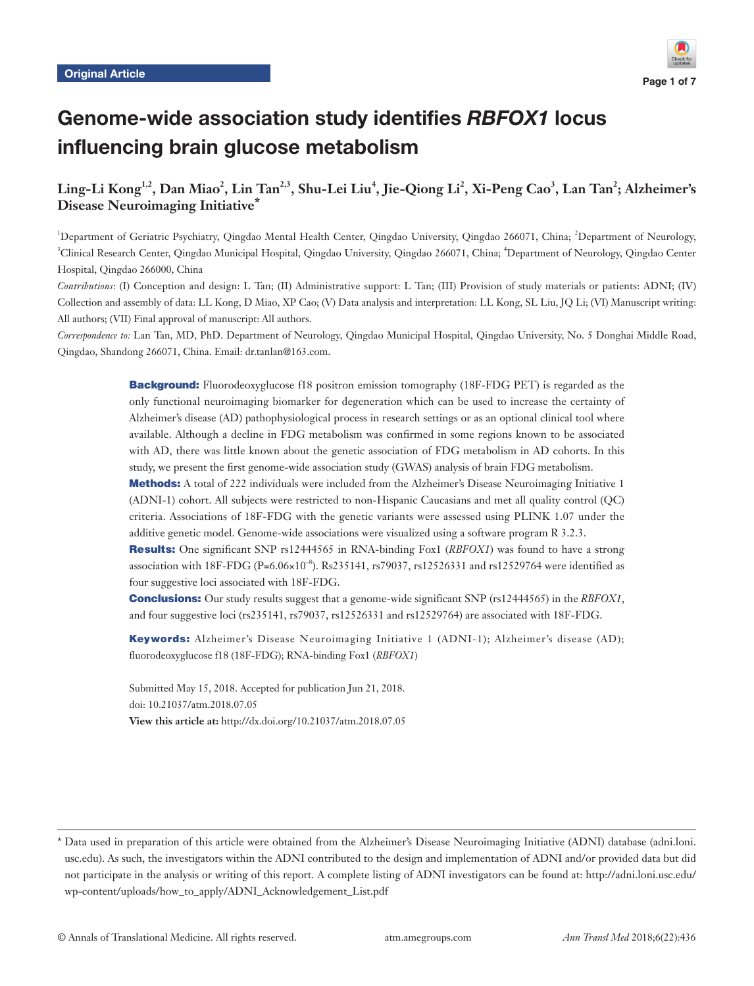

# Genome-wide association study identifies RBFOX1 locus influencing brain glucose metabolism

# $\rm{Ling\text{-}Li~Kong}^{1,2}, \rm{Dan~Miao}^2, \rm{Lin~Tan}^{2,3}, \rm{Shu\text{-}Lei~Liu}^4, \rm{Jie\text{-}Qiong~Li}^2, \rm{Xi\text{-}Peng~Cao}^3, \rm{Lan~Tan}^2; \rm{Alzheimer's}$ **Disease Neuroimaging Initiative\***

<sup>1</sup>Department of Geriatric Psychiatry, Qingdao Mental Health Center, Qingdao University, Qingdao 266071, China; <sup>2</sup>Department of Neurology, <sup>3</sup>Clinical Research Center, Qingdao Municipal Hospital, Qingdao University, Qingdao 266071, China; <sup>4</sup>Department of Neurology, Qingdao Center Hospital, Qingdao 266000, China

*Contributions*: (I) Conception and design: L Tan; (II) Administrative support: L Tan; (III) Provision of study materials or patients: ADNI; (IV) Collection and assembly of data: LL Kong, D Miao, XP Cao; (V) Data analysis and interpretation: LL Kong, SL Liu, JQ Li; (VI) Manuscript writing: All authors; (VII) Final approval of manuscript: All authors.

*Correspondence to:* Lan Tan, MD, PhD. Department of Neurology, Qingdao Municipal Hospital, Qingdao University, No. 5 Donghai Middle Road, Qingdao, Shandong 266071, China. Email: dr.tanlan@163.com.

> **Background:** Fluorodeoxyglucose f18 positron emission tomography (18F-FDG PET) is regarded as the only functional neuroimaging biomarker for degeneration which can be used to increase the certainty of Alzheimer's disease (AD) pathophysiological process in research settings or as an optional clinical tool where available. Although a decline in FDG metabolism was confirmed in some regions known to be associated with AD, there was little known about the genetic association of FDG metabolism in AD cohorts. In this study, we present the first genome-wide association study (GWAS) analysis of brain FDG metabolism.

> **Methods:** A total of 222 individuals were included from the Alzheimer's Disease Neuroimaging Initiative 1 (ADNI-1) cohort. All subjects were restricted to non-Hispanic Caucasians and met all quality control (QC) criteria. Associations of 18F-FDG with the genetic variants were assessed using PLINK 1.07 under the additive genetic model. Genome-wide associations were visualized using a software program R 3.2.3.

> Results: One significant SNP rs12444565 in RNA-binding Fox1 (*RBFOX1*) was found to have a strong association with 18F-FDG (P=6.06×10<sup>-8</sup>). Rs235141, rs79037, rs12526331 and rs12529764 were identified as four suggestive loci associated with 18F-FDG.

> Conclusions: Our study results suggest that a genome-wide significant SNP (rs12444565) in the *RBFOX1*, and four suggestive loci (rs235141, rs79037, rs12526331 and rs12529764) are associated with 18F-FDG.

> Keywords: Alzheimer's Disease Neuroimaging Initiative 1 (ADNI-1); Alzheimer's disease (AD); fluorodeoxyglucose f18 (18F-FDG); RNA-binding Fox1 (*RBFOX1*)

Submitted May 15, 2018. Accepted for publication Jun 21, 2018. doi: 10.21037/atm.2018.07.05 **View this article at:** http://dx.doi.org/10.21037/atm.2018.07.05

<sup>\*</sup> Data used in preparation of this article were obtained from the Alzheimer's Disease Neuroimaging Initiative (ADNI) database (adni.loni. usc.edu). As such, the investigators within the ADNI contributed to the design and implementation of ADNI and/or provided data but did not participate in the analysis or writing of this report. A complete listing of ADNI investigators can be found at: http://adni.loni.usc.edu/ wp-content/uploads/how\_to\_apply/ADNI\_Acknowledgement\_List.pdf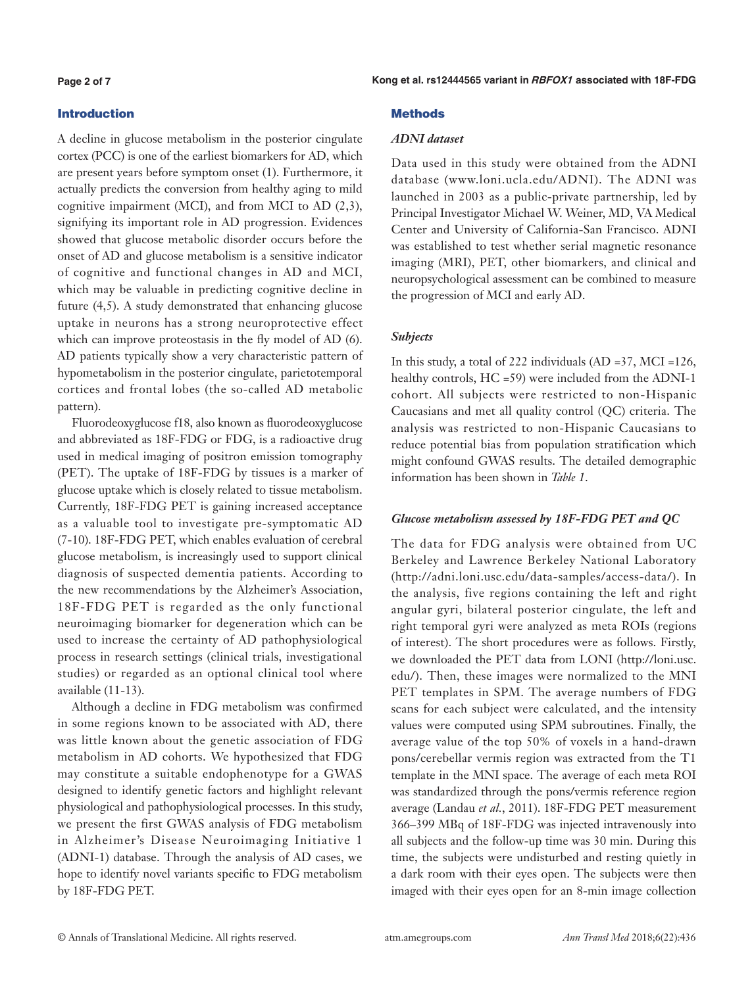#### **Page 2 of 7**

# Introduction

A decline in glucose metabolism in the posterior cingulate cortex (PCC) is one of the earliest biomarkers for AD, which are present years before symptom onset (1). Furthermore, it actually predicts the conversion from healthy aging to mild cognitive impairment (MCI), and from MCI to AD (2,3), signifying its important role in AD progression. Evidences showed that glucose metabolic disorder occurs before the onset of AD and glucose metabolism is a sensitive indicator of cognitive and functional changes in AD and MCI, which may be valuable in predicting cognitive decline in future (4,5). A study demonstrated that enhancing glucose uptake in neurons has a strong neuroprotective effect which can improve proteostasis in the fly model of AD (6). AD patients typically show a very characteristic pattern of hypometabolism in the posterior cingulate, parietotemporal cortices and frontal lobes (the so-called AD metabolic pattern).

Fluorodeoxyglucose f18, also known as fluorodeoxyglucose and abbreviated as 18F-FDG or FDG, is a radioactive drug used in medical imaging of positron emission tomography (PET). The uptake of 18F-FDG by tissues is a marker of glucose uptake which is closely related to tissue metabolism. Currently, 18F-FDG PET is gaining increased acceptance as a valuable tool to investigate pre-symptomatic AD (7-10). 18F-FDG PET, which enables evaluation of cerebral glucose metabolism, is increasingly used to support clinical diagnosis of suspected dementia patients. According to the new recommendations by the Alzheimer's Association, 18F-FDG PET is regarded as the only functional neuroimaging biomarker for degeneration which can be used to increase the certainty of AD pathophysiological process in research settings (clinical trials, investigational studies) or regarded as an optional clinical tool where available (11-13).

Although a decline in FDG metabolism was confirmed in some regions known to be associated with AD, there was little known about the genetic association of FDG metabolism in AD cohorts. We hypothesized that FDG may constitute a suitable endophenotype for a GWAS designed to identify genetic factors and highlight relevant physiological and pathophysiological processes. In this study, we present the first GWAS analysis of FDG metabolism in Alzheimer's Disease Neuroimaging Initiative 1 (ADNI-1) database. Through the analysis of AD cases, we hope to identify novel variants specific to FDG metabolism by 18F-FDG PET.

# **Methods**

# *ADNI dataset*

Data used in this study were obtained from the ADNI database (www.loni.ucla.edu/ADNI). The ADNI was launched in 2003 as a public-private partnership, led by Principal Investigator Michael W. Weiner, MD, VA Medical Center and University of California-San Francisco. ADNI was established to test whether serial magnetic resonance imaging (MRI), PET, other biomarkers, and clinical and neuropsychological assessment can be combined to measure the progression of MCI and early AD.

# *Subjects*

In this study, a total of 222 individuals (AD =37, MCI =126, healthy controls, HC =59) were included from the ADNI-1 cohort. All subjects were restricted to non-Hispanic Caucasians and met all quality control (QC) criteria. The analysis was restricted to non-Hispanic Caucasians to reduce potential bias from population stratification which might confound GWAS results. The detailed demographic information has been shown in *Table 1*.

# *Glucose metabolism assessed by 18F-FDG PET and QC*

The data for FDG analysis were obtained from UC Berkeley and Lawrence Berkeley National Laboratory ([http://adni.loni.usc.edu/data-samples/access-data/\)](http://adni.loni.usc.edu/data-samples/access-data/). In the analysis, five regions containing the left and right angular gyri, bilateral posterior cingulate, the left and right temporal gyri were analyzed as meta ROIs (regions of interest). The short procedures were as follows. Firstly, we downloaded the PET data from LONI (http://loni.usc. edu/). Then, these images were normalized to the MNI PET templates in SPM. The average numbers of FDG scans for each subject were calculated, and the intensity values were computed using SPM subroutines. Finally, the average value of the top 50% of voxels in a hand-drawn pons/cerebellar vermis region was extracted from the T1 template in the MNI space. The average of each meta ROI was standardized through the pons/vermis reference region average (Landau *et al.*, 2011). 18F-FDG PET measurement 366–399 MBq of 18F-FDG was injected intravenously into all subjects and the follow-up time was 30 min. During this time, the subjects were undisturbed and resting quietly in a dark room with their eyes open. The subjects were then imaged with their eyes open for an 8-min image collection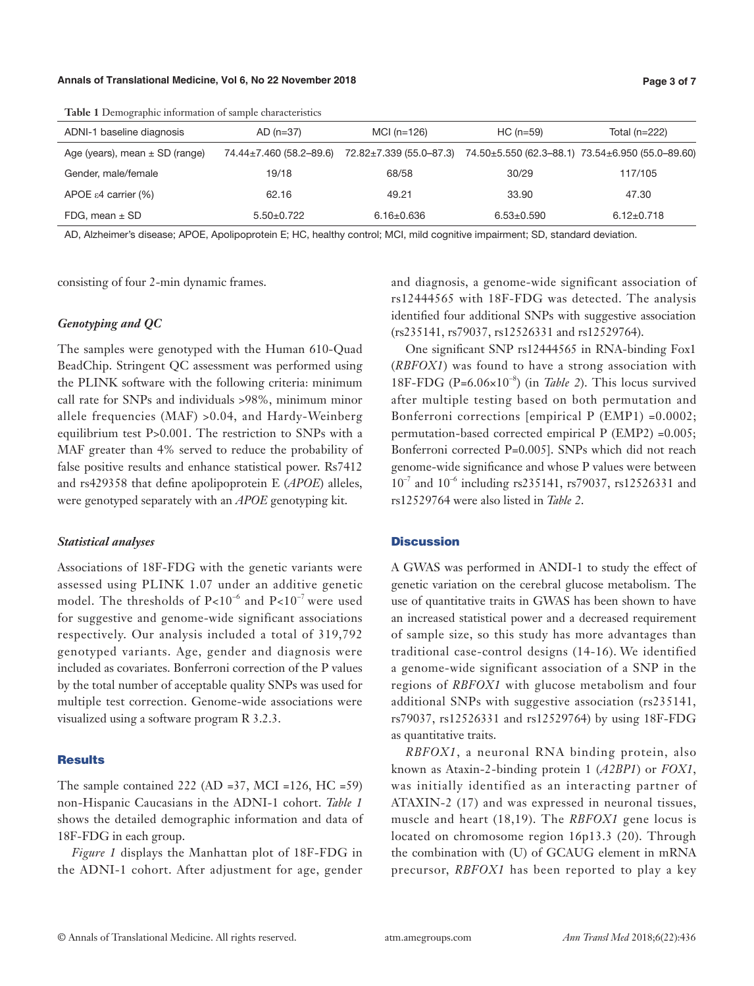#### **Annals of Translational Medicine, Vol 6, No 22 November 2018 Page 3 of 7**

ADNI-1 baseline diagnosis AD (n=37) MCI (n=126) HC (n=59) Total (n=222) Age (years), mean ± SD (range) 74.44±7.460 (58.2–89.6) 72.82±7.339 (55.0–87.3) 74.50±5.550 (62.3–88.1) 73.54±6.950 (55.0–89.60) Gender, male/female 19/18 19/18 68/58 30/29 117/105 APOE ε4 carrier (%) 62.16 62.16 49.21 33.90 47.30 FDG, mean ± SD 5.50±0.722 6.16±0.636 6.53±0.590 6.12±0.718

**Table 1** Demographic information of sample characteristics

AD, Alzheimer's disease; APOE, Apolipoprotein E; HC, healthy control; MCI, mild cognitive impairment; SD, standard deviation.

consisting of four 2-min dynamic frames.

#### *Genotyping and QC*

The samples were genotyped with the Human 610-Quad BeadChip. Stringent QC assessment was performed using the PLINK software with the following criteria: minimum call rate for SNPs and individuals >98%, minimum minor allele frequencies (MAF) >0.04, and Hardy-Weinberg equilibrium test P>0.001. The restriction to SNPs with a MAF greater than 4% served to reduce the probability of false positive results and enhance statistical power. Rs7412 and rs429358 that define apolipoprotein E (*APOE*) alleles, were genotyped separately with an *APOE* genotyping kit.

### *Statistical analyses*

Associations of 18F-FDG with the genetic variants were assessed using PLINK 1.07 under an additive genetic model. The thresholds of  $P<10^{-6}$  and  $P<10^{-7}$  were used for suggestive and genome-wide significant associations respectively. Our analysis included a total of 319,792 genotyped variants. Age, gender and diagnosis were included as covariates. Bonferroni correction of the P values by the total number of acceptable quality SNPs was used for multiple test correction. Genome-wide associations were visualized using a software program R 3.2.3.

#### **Results**

The sample contained 222 (AD =37, MCI =126, HC =59) non-Hispanic Caucasians in the ADNI-1 cohort. *Table 1* shows the detailed demographic information and data of 18F-FDG in each group.

*Figure 1* displays the Manhattan plot of 18F-FDG in the ADNI-1 cohort. After adjustment for age, gender and diagnosis, a genome-wide significant association of rs12444565 with 18F-FDG was detected. The analysis identified four additional SNPs with suggestive association (rs235141, rs79037, rs12526331 and rs12529764).

One significant SNP rs12444565 in RNA-binding Fox1 (*RBFOX1*) was found to have a strong association with 18F-FDG  $(P=6.06\times10^{-8})$  (in *Table 2*). This locus survived after multiple testing based on both permutation and Bonferroni corrections [empirical P (EMP1) =0.0002; permutation-based corrected empirical P (EMP2) =0.005; Bonferroni corrected P=0.005]. SNPs which did not reach genome-wide significance and whose P values were between  $10^{-7}$  and  $10^{-6}$  including rs235141, rs79037, rs12526331 and rs12529764 were also listed in *Table 2*.

#### **Discussion**

A GWAS was performed in ANDI-1 to study the effect of genetic variation on the cerebral glucose metabolism. The use of quantitative traits in GWAS has been shown to have an increased statistical power and a decreased requirement of sample size, so this study has more advantages than traditional case-control designs (14-16). We identified a genome-wide significant association of a SNP in the regions of *RBFOX1* with glucose metabolism and four additional SNPs with suggestive association (rs235141, rs79037, rs12526331 and rs12529764) by using 18F-FDG as quantitative traits.

*RBFOX1*, a neuronal RNA binding protein, also known as Ataxin-2-binding protein 1 (*A2BP1*) or *FOX1*, was initially identified as an interacting partner of ATAXIN-2 (17) and was expressed in neuronal tissues, muscle and heart (18,19). The *RBFOX1* gene locus is located on chromosome region 16p13.3 (20). Through the combination with (U) of GCAUG element in mRNA precursor, *RBFOX1* has been reported to play a key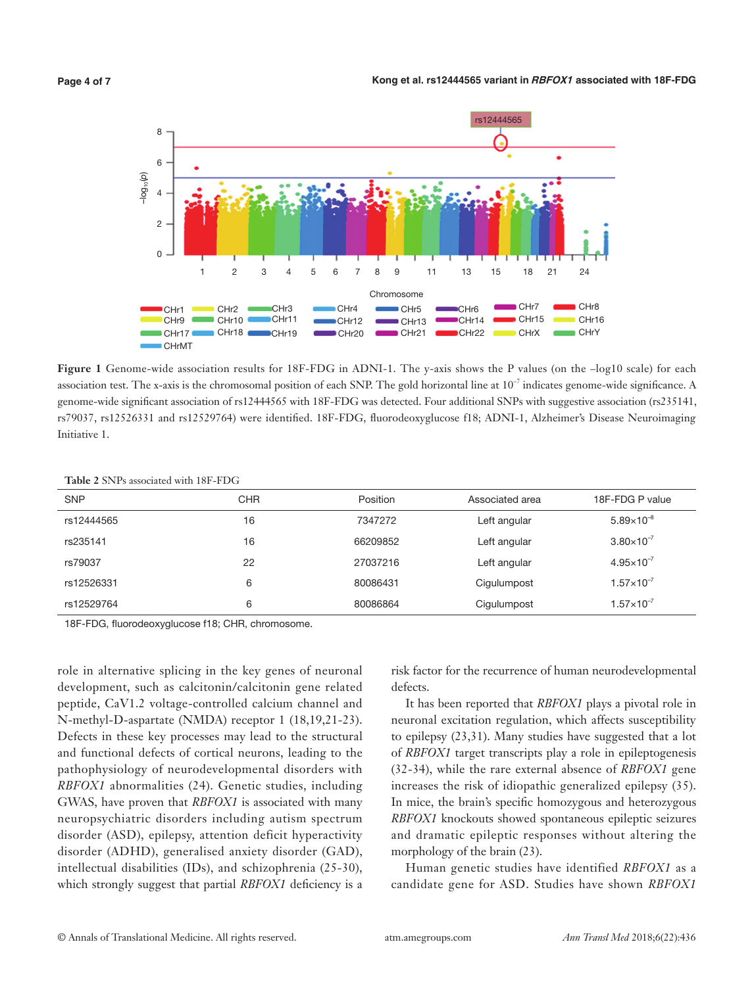

Figure 1 Genome-wide association results for 18F-FDG in ADNI-1. The y-axis shows the P values (on the -log10 scale) for each association test. The x-axis is the chromosomal position of each SNP. The gold horizontal line at 10−7 indicates genome-wide significance. A genome-wide significant association of rs12444565 with 18F-FDG was detected. Four additional SNPs with suggestive association (rs235141, rs79037, rs12526331 and rs12529764) were identified. 18F-FDG, fluorodeoxyglucose f18; ADNI-1, Alzheimer's Disease Neuroimaging Initiative 1.

|  |  |  |  | <b>Table 2 SNPs associated with 18F-FDG</b> |
|--|--|--|--|---------------------------------------------|
|--|--|--|--|---------------------------------------------|

| <b>SNP</b> | CHR | Position | Associated area | 18F-FDG P value       |
|------------|-----|----------|-----------------|-----------------------|
| rs12444565 | 16  | 7347272  | Left angular    | $5.89\times10^{-8}$   |
| rs235141   | 16  | 66209852 | Left angular    | $3.80\times10^{-7}$   |
| rs79037    | 22  | 27037216 | Left angular    | $4.95 \times 10^{-7}$ |
| rs12526331 | 6   | 80086431 | Cigulumpost     | $1.57\times10^{-7}$   |
| rs12529764 | 6   | 80086864 | Cigulumpost     | $1.57\times10^{-7}$   |

18F-FDG, fluorodeoxyglucose f18; CHR, chromosome.

role in alternative splicing in the key genes of neuronal development, such as calcitonin/calcitonin gene related peptide, CaV1.2 voltage-controlled calcium channel and N-methyl-D-aspartate (NMDA) receptor 1 (18,19,21-23). Defects in these key processes may lead to the structural and functional defects of cortical neurons, leading to the pathophysiology of neurodevelopmental disorders with *RBFOX1* abnormalities (24). Genetic studies, including GWAS, have proven that *RBFOX1* is associated with many neuropsychiatric disorders including autism spectrum disorder (ASD), epilepsy, attention deficit hyperactivity disorder (ADHD), generalised anxiety disorder (GAD), intellectual disabilities (IDs), and schizophrenia (25-30), which strongly suggest that partial *RBFOX1* deficiency is a

risk factor for the recurrence of human neurodevelopmental defects.

It has been reported that *RBFOX1* plays a pivotal role in neuronal excitation regulation, which affects susceptibility to epilepsy (23,31). Many studies have suggested that a lot of *RBFOX1* target transcripts play a role in epileptogenesis (32-34), while the rare external absence of *RBFOX1* gene increases the risk of idiopathic generalized epilepsy (35). In mice, the brain's specific homozygous and heterozygous *RBFOX1* knockouts showed spontaneous epileptic seizures and dramatic epileptic responses without altering the morphology of the brain  $(23)$ .

Human genetic studies have identified *RBFOX1* as a candidate gene for ASD. Studies have shown *RBFOX1*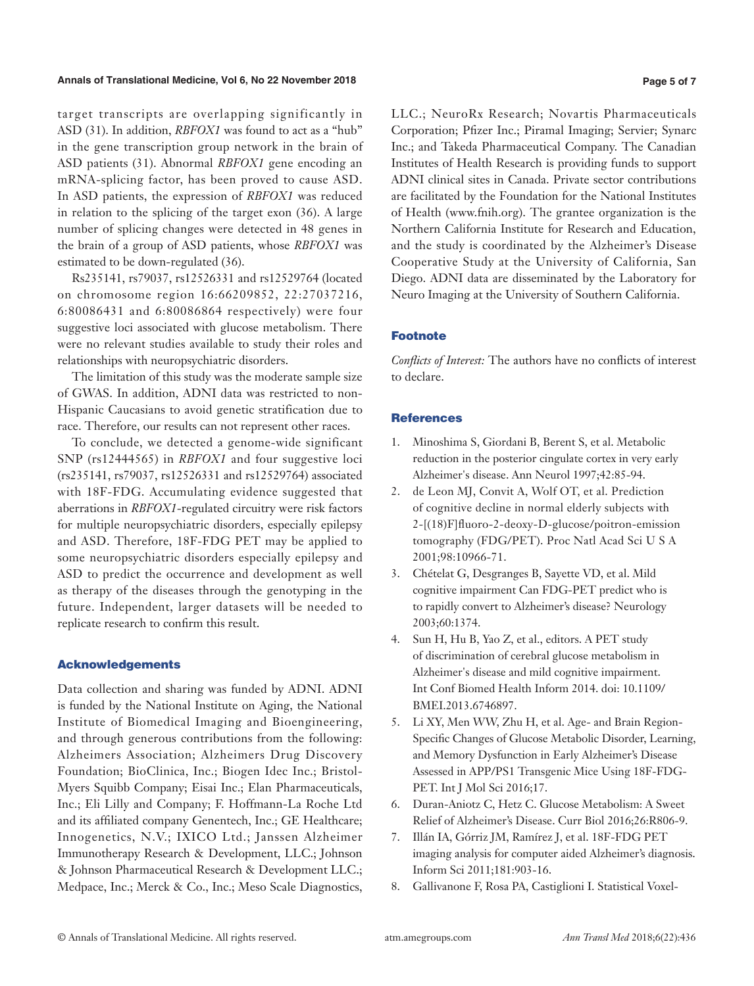#### **Annals of Translational Medicine, Vol 6, No 22 November 2018 Page 5 of 7**

target transcripts are overlapping significantly in ASD (31). In addition, *RBFOX1* was found to act as a "hub" in the gene transcription group network in the brain of ASD patients (31). Abnormal *RBFOX1* gene encoding an mRNA-splicing factor, has been proved to cause ASD. In ASD patients, the expression of *RBFOX1* was reduced in relation to the splicing of the target exon (36). A large number of splicing changes were detected in 48 genes in the brain of a group of ASD patients, whose *RBFOX1* was estimated to be down-regulated (36).

Rs235141, rs79037, rs12526331 and rs12529764 (located on chromosome region 16:66209852, 22:27037216, 6:80086431 and 6:80086864 respectively) were four suggestive loci associated with glucose metabolism. There were no relevant studies available to study their roles and relationships with neuropsychiatric disorders.

The limitation of this study was the moderate sample size of GWAS. In addition, ADNI data was restricted to non-Hispanic Caucasians to avoid genetic stratification due to race. Therefore, our results can not represent other races.

To conclude, we detected a genome-wide significant SNP (rs12444565) in *RBFOX1* and four suggestive loci (rs235141, rs79037, rs12526331 and rs12529764) associated with 18F-FDG. Accumulating evidence suggested that aberrations in *RBFOX1*-regulated circuitry were risk factors for multiple neuropsychiatric disorders, especially epilepsy and ASD. Therefore, 18F-FDG PET may be applied to some neuropsychiatric disorders especially epilepsy and ASD to predict the occurrence and development as well as therapy of the diseases through the genotyping in the future. Independent, larger datasets will be needed to replicate research to confirm this result.

#### Acknowledgements

Data collection and sharing was funded by ADNI. ADNI is funded by the National Institute on Aging, the National Institute of Biomedical Imaging and Bioengineering, and through generous contributions from the following: Alzheimers Association; Alzheimers Drug Discovery Foundation; BioClinica, Inc.; Biogen Idec Inc.; Bristol-Myers Squibb Company; Eisai Inc.; Elan Pharmaceuticals, Inc.; Eli Lilly and Company; F. Hoffmann-La Roche Ltd and its affiliated company Genentech, Inc.; GE Healthcare; Innogenetics, N.V.; IXICO Ltd.; Janssen Alzheimer Immunotherapy Research & Development, LLC.; Johnson & Johnson Pharmaceutical Research & Development LLC.; Medpace, Inc.; Merck & Co., Inc.; Meso Scale Diagnostics, LLC.; NeuroRx Research; Novartis Pharmaceuticals Corporation; Pfizer Inc.; Piramal Imaging; Servier; Synarc Inc.; and Takeda Pharmaceutical Company. The Canadian Institutes of Health Research is providing funds to support ADNI clinical sites in Canada. Private sector contributions are facilitated by the Foundation for the National Institutes of Health (www.fnih.org). The grantee organization is the Northern California Institute for Research and Education, and the study is coordinated by the Alzheimer's Disease Cooperative Study at the University of California, San Diego. ADNI data are disseminated by the Laboratory for Neuro Imaging at the University of Southern California.

# Footnote

*Conflicts of Interest:* The authors have no conflicts of interest to declare.

# **References**

- 1. Minoshima S, Giordani B, Berent S, et al. Metabolic reduction in the posterior cingulate cortex in very early Alzheimer's disease. Ann Neurol 1997;42:85-94.
- 2. de Leon MJ, Convit A, Wolf OT, et al. Prediction of cognitive decline in normal elderly subjects with 2-[(18)F]fluoro-2-deoxy-D-glucose/poitron-emission tomography (FDG/PET). Proc Natl Acad Sci U S A 2001;98:10966-71.
- 3. Chételat G, Desgranges B, Sayette VD, et al. Mild cognitive impairment Can FDG-PET predict who is to rapidly convert to Alzheimer's disease? Neurology 2003;60:1374.
- 4. Sun H, Hu B, Yao Z, et al., editors. A PET study of discrimination of cerebral glucose metabolism in Alzheimer's disease and mild cognitive impairment. Int Conf Biomed Health Inform 2014. doi: 10.1109/ BMEI.2013.6746897.
- 5. Li XY, Men WW, Zhu H, et al. Age- and Brain Region-Specific Changes of Glucose Metabolic Disorder, Learning, and Memory Dysfunction in Early Alzheimer's Disease Assessed in APP/PS1 Transgenic Mice Using 18F-FDG-PET. Int J Mol Sci 2016;17.
- 6. Duran-Aniotz C, Hetz C. Glucose Metabolism: A Sweet Relief of Alzheimer's Disease. Curr Biol 2016;26:R806-9.
- 7. Illán IA, Górriz JM, Ramírez J, et al. 18F-FDG PET imaging analysis for computer aided Alzheimer's diagnosis. Inform Sci 2011;181:903-16.
- 8. Gallivanone F, Rosa PA, Castiglioni I. Statistical Voxel-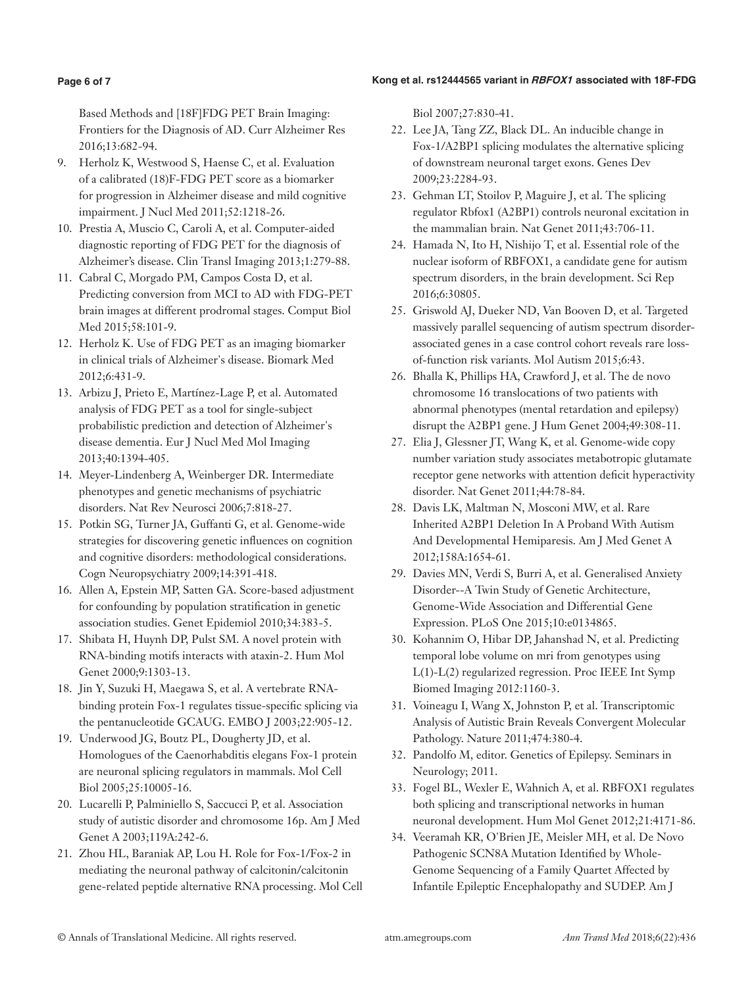# **Kong et al. rs12444565 variant in RBFOX1 associated with 18F-FDG**

# **Page 6 of 7**

Based Methods and [18F]FDG PET Brain Imaging: Frontiers for the Diagnosis of AD. Curr Alzheimer Res 2016;13:682-94.

- 9. Herholz K, Westwood S, Haense C, et al. Evaluation of a calibrated (18)F-FDG PET score as a biomarker for progression in Alzheimer disease and mild cognitive impairment. J Nucl Med 2011;52:1218-26.
- 10. Prestia A, Muscio C, Caroli A, et al. Computer-aided diagnostic reporting of FDG PET for the diagnosis of Alzheimer's disease. Clin Transl Imaging 2013;1:279-88.
- 11. Cabral C, Morgado PM, Campos Costa D, et al. Predicting conversion from MCI to AD with FDG-PET brain images at different prodromal stages. Comput Biol Med 2015;58:101-9.
- 12. Herholz K. Use of FDG PET as an imaging biomarker in clinical trials of Alzheimer's disease. Biomark Med 2012;6:431-9.
- 13. Arbizu J, Prieto E, Martínez-Lage P, et al. Automated analysis of FDG PET as a tool for single-subject probabilistic prediction and detection of Alzheimer's disease dementia. Eur J Nucl Med Mol Imaging 2013;40:1394-405.
- 14. Meyer-Lindenberg A, Weinberger DR. Intermediate phenotypes and genetic mechanisms of psychiatric disorders. Nat Rev Neurosci 2006;7:818-27.
- 15. Potkin SG, Turner JA, Guffanti G, et al. Genome-wide strategies for discovering genetic influences on cognition and cognitive disorders: methodological considerations. Cogn Neuropsychiatry 2009;14:391-418.
- 16. Allen A, Epstein MP, Satten GA. Score-based adjustment for confounding by population stratification in genetic association studies. Genet Epidemiol 2010;34:383-5.
- 17. Shibata H, Huynh DP, Pulst SM. A novel protein with RNA-binding motifs interacts with ataxin-2. Hum Mol Genet 2000;9:1303-13.
- 18. Jin Y, Suzuki H, Maegawa S, et al. A vertebrate RNAbinding protein Fox-1 regulates tissue-specific splicing via the pentanucleotide GCAUG. EMBO J 2003;22:905-12.
- 19. Underwood JG, Boutz PL, Dougherty JD, et al. Homologues of the Caenorhabditis elegans Fox-1 protein are neuronal splicing regulators in mammals. Mol Cell Biol 2005;25:10005-16.
- 20. Lucarelli P, Palminiello S, Saccucci P, et al. Association study of autistic disorder and chromosome 16p. Am J Med Genet A 2003;119A:242-6.
- 21. Zhou HL, Baraniak AP, Lou H. Role for Fox-1/Fox-2 in mediating the neuronal pathway of calcitonin/calcitonin gene-related peptide alternative RNA processing. Mol Cell

Biol 2007;27:830-41.

- 22. Lee JA, Tang ZZ, Black DL. An inducible change in Fox-1/A2BP1 splicing modulates the alternative splicing of downstream neuronal target exons. Genes Dev 2009;23:2284-93.
- 23. Gehman LT, Stoilov P, Maguire J, et al. The splicing regulator Rbfox1 (A2BP1) controls neuronal excitation in the mammalian brain. Nat Genet 2011;43:706-11.
- 24. Hamada N, Ito H, Nishijo T, et al. Essential role of the nuclear isoform of RBFOX1, a candidate gene for autism spectrum disorders, in the brain development. Sci Rep 2016;6:30805.
- 25. Griswold AJ, Dueker ND, Van Booven D, et al. Targeted massively parallel sequencing of autism spectrum disorderassociated genes in a case control cohort reveals rare lossof-function risk variants. Mol Autism 2015;6:43.
- 26. Bhalla K, Phillips HA, Crawford J, et al. The de novo chromosome 16 translocations of two patients with abnormal phenotypes (mental retardation and epilepsy) disrupt the A2BP1 gene. J Hum Genet 2004;49:308-11.
- 27. Elia J, Glessner JT, Wang K, et al. Genome-wide copy number variation study associates metabotropic glutamate receptor gene networks with attention deficit hyperactivity disorder. Nat Genet 2011;44:78-84.
- 28. Davis LK, Maltman N, Mosconi MW, et al. Rare Inherited A2BP1 Deletion In A Proband With Autism And Developmental Hemiparesis. Am J Med Genet A 2012;158A:1654-61.
- 29. Davies MN, Verdi S, Burri A, et al. Generalised Anxiety Disorder--A Twin Study of Genetic Architecture, Genome-Wide Association and Differential Gene Expression. PLoS One 2015;10:e0134865.
- 30. Kohannim O, Hibar DP, Jahanshad N, et al. Predicting temporal lobe volume on mri from genotypes using L(1)-L(2) regularized regression. Proc IEEE Int Symp Biomed Imaging 2012:1160-3.
- 31. Voineagu I, Wang X, Johnston P, et al. Transcriptomic Analysis of Autistic Brain Reveals Convergent Molecular Pathology. Nature 2011;474:380-4.
- 32. Pandolfo M, editor. Genetics of Epilepsy. Seminars in Neurology; 2011.
- 33. Fogel BL, Wexler E, Wahnich A, et al. RBFOX1 regulates both splicing and transcriptional networks in human neuronal development. Hum Mol Genet 2012;21:4171-86.
- 34. Veeramah KR, O'Brien JE, Meisler MH, et al. De Novo Pathogenic SCN8A Mutation Identified by Whole-Genome Sequencing of a Family Quartet Affected by Infantile Epileptic Encephalopathy and SUDEP. Am J